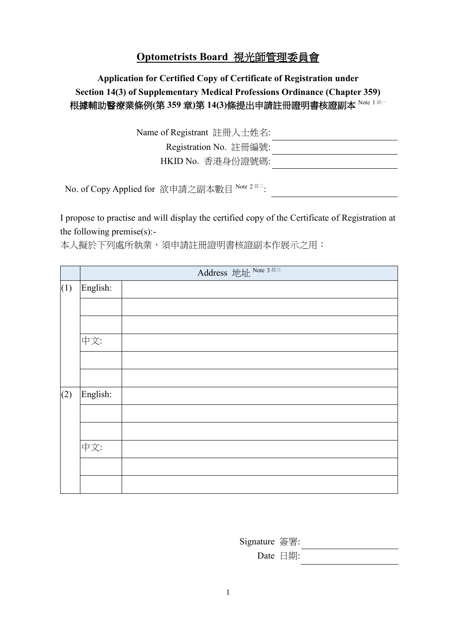## **Optometrists Board** 視光師管理委員會

## **Application for Certified Copy of Certificate of Registration under Section 14(3) of Supplementary Medical Professions Ordinance (Chapter 359)** 根據輔助醫療業條例**(**第 **359** 章**)**第 **14(3)**條提出申請註冊證明書核證副本 Note <sup>1</sup> 註一

| Name of Registrant 註冊人士姓名: |  |
|----------------------------|--|
| Registration No. 註冊編號:     |  |
| HKID No. 香港身份證號碼:          |  |

No. of Copy Applied for 欲申請之副本數目 <sup>Note 2 註二</sup>:

I propose to practise and will display the certified copy of the Certificate of Registration at the following premise(s):-

本人擬於下列處所執業,須申請註冊證明書核證副本作展示之用:

|     | Address 地址 Note 3 註三 |  |  |
|-----|----------------------|--|--|
| (1) | English:             |  |  |
|     |                      |  |  |
|     |                      |  |  |
|     | 中文:                  |  |  |
|     |                      |  |  |
|     |                      |  |  |
| (2) | English:             |  |  |
|     |                      |  |  |
|     |                      |  |  |
|     | 中文:                  |  |  |
|     |                      |  |  |
|     |                      |  |  |

Signature 簽署: Date 日期: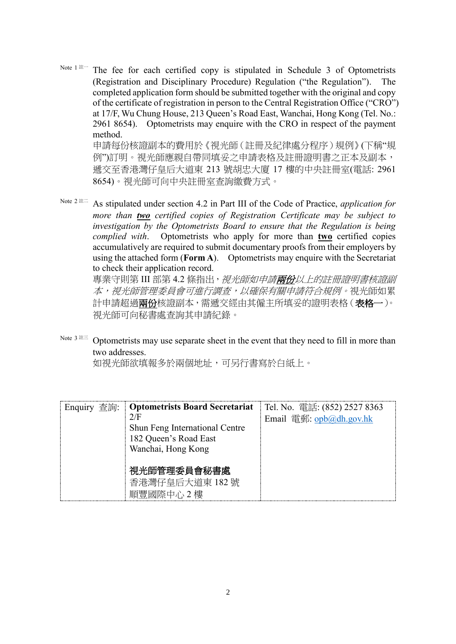Note  $1$   $\hbar$  The fee for each certified copy is stipulated in Schedule 3 of Optometrists (Registration and Disciplinary Procedure) Regulation ("the Regulation"). The completed application form should be submitted together with the original and copy of the certificate of registration in person to the Central Registration Office ("CRO") at 17/F, Wu Chung House, 213 Queen's Road East, Wanchai, Hong Kong (Tel. No.: 2961 8654). Optometrists may enquire with the CRO in respect of the payment method. 申請每份核證副本的費用於《視光師(註冊及紀律處分程序)規例》(下稱"規 例"訂明。視光師應親自帶同填妥之申請表格及註冊證明書之正本及副本,

遞交至香港灣仔皇后大道東 213 號胡忠大廈 17 樓的中央註冊室(電話: 2961 8654)。視光師可向中央註冊室查詢繳費方式。

Note <sup>2</sup> 註二 As stipulated under section 4.2 in Part III of the Code of Practice, *application for more than two certified copies of Registration Certificate may be subject to investigation by the Optometrists Board to ensure that the Regulation is being complied with*. Optometrists who apply for more than **two** certified copies accumulatively are required to submit documentary proofs from their employers by using the attached form (**Form A**). Optometrists may enquire with the Secretariat to check their application record.

專業守則第 III 部第 4.2 條指出, 視光師如申請兩份以上的註冊證明書核證副 本,視光師管理委員會可進行調查,以確保有關申請符合規例。視光師如累 計申請超過**兩份**核證副本,需遞交經由其僱主所填妥的證明表格(**表格一**)。 視光師可向秘書處查詢其申請紀錄。

Note  $3$   $\stackrel{\text{def}}{=}$  Optometrists may use separate sheet in the event that they need to fill in more than two addresses.

如視光師欲填報多於兩個地址,可另行書寫於白紙上。

| Enquiry 查詢: | <b>Optometrists Board Secretariat</b> | Tel. No. 電話: $(852)$ 2527 8363 |
|-------------|---------------------------------------|--------------------------------|
|             | 2/F                                   | Email 電郵: opb@dh.gov.hk        |
|             | Shun Feng International Centre        |                                |
|             | 182 Queen's Road East                 |                                |
|             | Wanchai, Hong Kong                    |                                |
|             |                                       |                                |
|             | 視光師管理委員會秘書處                           |                                |
|             | 香港灣仔皇后大道東 182號                        |                                |
|             | 順豐國際中心2樓                              |                                |